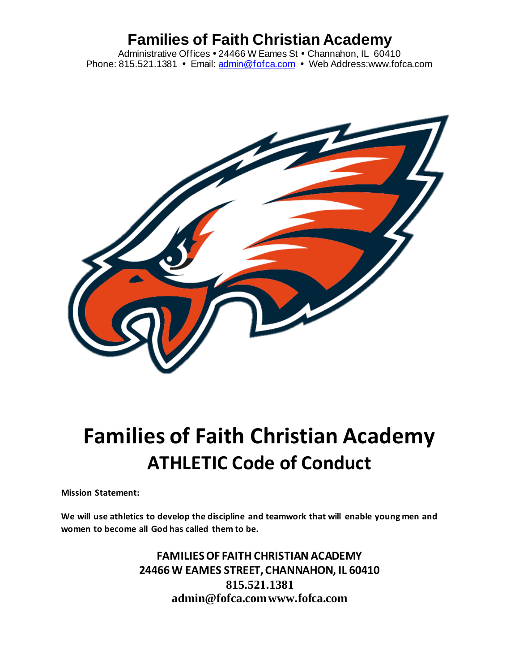Administrative Offices . 24466 W Eames St . Channahon, IL 60410 Phone: 815.521.1381 • Email: [admin@fofca.com](mailto:admin@fofca.com) • Web Address:www.fofca.com



# **Families of Faith Christian Academy ATHLETIC Code of Conduct**

**Mission Statement:** 

**We will use athletics to develop the discipline and teamwork that will enable young men and women to become all God has called them to be.**

> **FAMILIES OF FAITH CHRISTIAN ACADEMY 24466 W EAMES STREET, CHANNAHON, IL 60410 815.521.1381 admin@fofca.com www.fofca.com**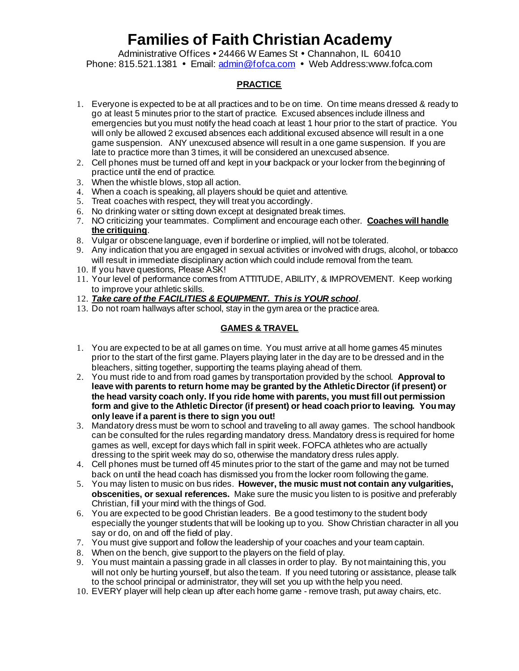Administrative Offices • 24466 W Eames St • Channahon, IL 60410 Phone: 815.521.1381 • Email: [admin@fofca.com](mailto:admin@fofca.com) • Web Address:www.fofca.com

#### **PRACTICE**

- 1. Everyone is expected to be at all practices and to be on time. On time means dressed & ready to go at least 5 minutes prior to the start of practice. Excused absences include illness and emergencies but you must notify the head coach at least 1 hour prior to the start of practice. You will only be allowed 2 excused absences each additional excused absence will result in a one game suspension. ANY unexcused absence will result in a one game suspension. If you are late to practice more than 3 times, it will be considered an unexcused absence.
- 2. Cell phones must be turned off and kept in your backpack or your locker from the beginning of practice until the end of practice.
- 3. When the whistle blows, stop all action.
- 4. When a coach is speaking, all players should be quiet and attentive.
- 5. Treat coaches with respect, they will treat you accordingly.
- 6. No drinking water or sitting down except at designated break times.
- 7. NO criticizing your teammates. Compliment and encourage each other. **Coaches will handle the critiquing**.
- 8. Vulgar or obscene language, even if borderline or implied, will not be tolerated.
- 9. Any indication that you are engaged in sexual activities or involved with drugs, alcohol, or tobacco will result in immediate disciplinary action which could include removal from the team.
- 10. If you have questions, Please ASK!
- 11. Your level of performance comes from ATTITUDE, ABILITY, & IMPROVEMENT. Keep working to improve your athletic skills.
- 12. *Take care of the FACILITIES & EQUIPMENT. This is YOUR school*.
- 13. Do not roam hallways after school, stay in the gym area or the practice area.

#### **GAMES & TRAVEL**

- 1. You are expected to be at all games on time. You must arrive at all home games 45 minutes prior to the start of the first game. Players playing later in the day are to be dressed and in the bleachers, sitting together, supporting the teams playing ahead of them.
- 2. You must ride to and from road games by transportation provided by the school. **Approval to leave with parents to return home may be granted by the Athletic Director (if present) or the head varsity coach only. If you ride home with parents, you must fill out permission form and give to the Athletic Director (if present) or head coach prior to leaving. You may only leave if a parent is there to sign you out!**
- 3. Mandatory dress must be worn to school and traveling to all away games. The school handbook can be consulted for the rules regarding mandatory dress. Mandatory dress is required for home games as well, except for days which fall in spirit week. FOFCA athletes who are actually dressing to the spirit week may do so, otherwise the mandatory dress rules apply.
- 4. Cell phones must be turned off 45 minutes prior to the start of the game and may not be turned back on until the head coach has dismissed you from the locker room following the game.
- 5. You may listen to music on bus rides. **However, the music must not contain any vulgarities, obscenities, or sexual references.** Make sure the music you listen to is positive and preferably Christian, fill your mind with the things of God.
- 6. You are expected to be good Christian leaders. Be a good testimony to the student body especially the younger students that will be looking up to you. Show Christian character in all you say or do, on and off the field of play.
- 7. You must give support and follow the leadership of your coaches and your team captain.
- 8. When on the bench, give support to the players on the field of play.
- 9. You must maintain a passing grade in all classes in order to play. By not maintaining this, you will not only be hurting yourself, but also the team. If you need tutoring or assistance, please talk to the school principal or administrator, they will set you up with the help you need.
- 10. EVERY player will help clean up after each home game remove trash, put away chairs, etc.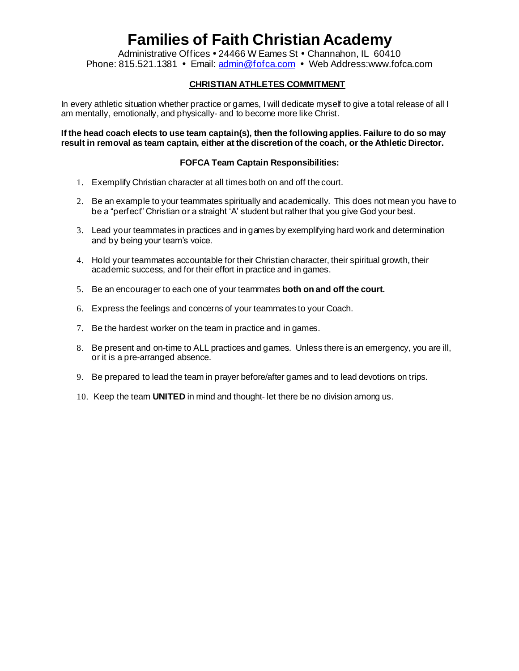Administrative Offices . 24466 W Eames St . Channahon, IL 60410 Phone: 815.521.1381 • Email: [admin@fofca.com](mailto:admin@fofca.com) • Web Address:www.fofca.com

#### **CHRISTIAN ATHLETES COMMITMENT**

In every athletic situation whether practice or games, I will dedicate myself to give a total release of all I am mentally, emotionally, and physically- and to become more like Christ.

**If the head coach elects to use team captain(s), then the following applies. Failure to do so may result in removal as team captain, either at the discretion of the coach, or the Athletic Director.**

#### **FOFCA Team Captain Responsibilities:**

- 1. Exemplify Christian character at all times both on and off the court.
- 2. Be an example to your teammates spiritually and academically. This does not mean you have to be a "perfect" Christian or a straight 'A' student but rather that you give God your best.
- 3. Lead your teammates in practices and in games by exemplifying hard work and determination and by being your team's voice.
- 4. Hold your teammates accountable for their Christian character, their spiritual growth, their academic success, and for their effort in practice and in games.
- 5. Be an encourager to each one of your teammates **both on and off the court.**
- 6. Express the feelings and concerns of your teammates to your Coach.
- 7. Be the hardest worker on the team in practice and in games.
- 8. Be present and on-time to ALL practices and games. Unless there is an emergency, you are ill, or it is a pre-arranged absence.
- 9. Be prepared to lead the team in prayer before/after games and to lead devotions on trips.
- 10. Keep the team **UNITED** in mind and thought- let there be no division among us.